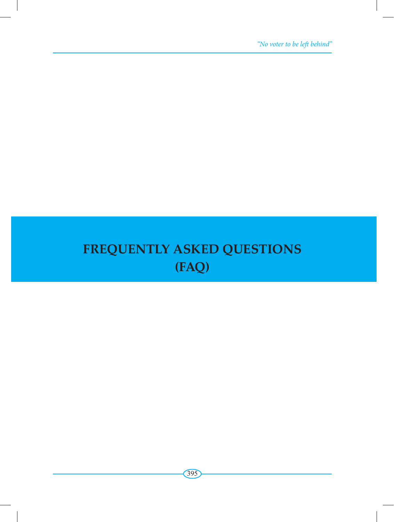*"No voter to be left behind"*

## **FREQUENTLY ASKED QUESTIONS (FAQ)**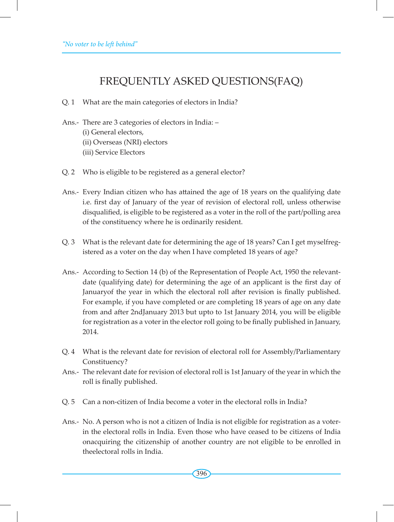## FREQUENTLY ASKED QUESTIONS(FAQ)

- Q. 1 What are the main categories of electors in India?
- Ans.- There are 3 categories of electors in India: (i) General electors, (ii) Overseas (NRI) electors (iii) Service Electors
- Q. 2 Who is eligible to be registered as a general elector?
- Ans.- Every Indian citizen who has attained the age of 18 years on the qualifying date i.e. first day of January of the year of revision of electoral roll, unless otherwise disqualified, is eligible to be registered as a voter in the roll of the part/polling area of the constituency where he is ordinarily resident.
- Q. 3 What is the relevant date for determining the age of 18 years? Can I get myselfregistered as a voter on the day when I have completed 18 years of age?
- Ans.- According to Section 14 (b) of the Representation of People Act, 1950 the relevantdate (qualifying date) for determining the age of an applicant is the first day of Januaryof the year in which the electoral roll after revision is finally published. For example, if you have completed or are completing 18 years of age on any date from and after 2ndJanuary 2013 but upto to 1st January 2014, you will be eligible for registration as a voter in the elector roll going to be finally published in January, 2014.
- Q. 4 What is the relevant date for revision of electoral roll for Assembly/Parliamentary Constituency?
- Ans.- The relevant date for revision of electoral roll is 1st January of the year in which the roll is finally published.
- Q. 5 Can a non-citizen of India become a voter in the electoral rolls in India?
- Ans. No. A person who is not a citizen of India is not eligible for registration as a voterin the electoral rolls in India. Even those who have ceased to be citizens of India onacquiring the citizenship of another country are not eligible to be enrolled in theelectoral rolls in India.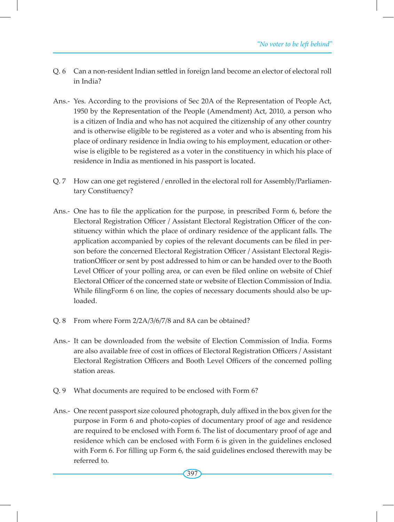- Q. 6 Can a non-resident Indian settled in foreign land become an elector of electoral roll in India?
- Ans.- Yes. According to the provisions of Sec 20A of the Representation of People Act, 1950 by the Representation of the People (Amendment) Act, 2010, a person who is a citizen of India and who has not acquired the citizenship of any other country and is otherwise eligible to be registered as a voter and who is absenting from his place of ordinary residence in India owing to his employment, education or otherwise is eligible to be registered as a voter in the constituency in which his place of residence in India as mentioned in his passport is located.
- Q. 7 How can one get registered / enrolled in the electoral roll for Assembly/Parliamentary Constituency?
- Ans.- One has to file the application for the purpose, in prescribed Form 6, before the Electoral Registration Officer / Assistant Electoral Registration Officer of the constituency within which the place of ordinary residence of the applicant falls. The application accompanied by copies of the relevant documents can be filed in person before the concerned Electoral Registration Officer / Assistant Electoral RegistrationOfficer or sent by post addressed to him or can be handed over to the Booth Level Officer of your polling area, or can even be filed online on website of Chief Electoral Officer of the concerned state or website of Election Commission of India. While filingForm 6 on line, the copies of necessary documents should also be uploaded.
- Q. 8 From where Form 2/2A/3/6/7/8 and 8A can be obtained?
- Ans.- It can be downloaded from the website of Election Commission of India. Forms are also available free of cost in offices of Electoral Registration Officers / Assistant Electoral Registration Officers and Booth Level Officers of the concerned polling station areas.
- Q. 9 What documents are required to be enclosed with Form 6?
- Ans.- One recent passport size coloured photograph, duly affixed in the box given for the purpose in Form 6 and photo-copies of documentary proof of age and residence are required to be enclosed with Form 6. The list of documentary proof of age and residence which can be enclosed with Form 6 is given in the guidelines enclosed with Form 6. For filling up Form 6, the said guidelines enclosed therewith may be referred to.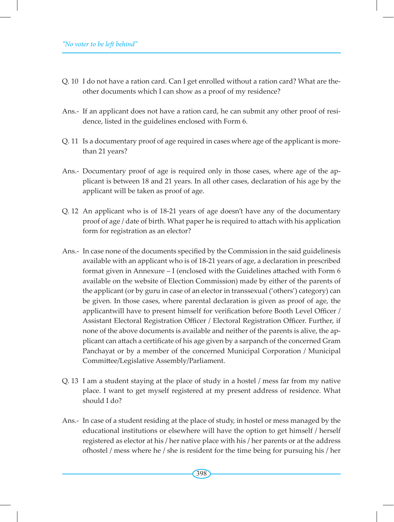- Q. 10 I do not have a ration card. Can I get enrolled without a ration card? What are theother documents which I can show as a proof of my residence?
- Ans.- If an applicant does not have a ration card, he can submit any other proof of residence, listed in the guidelines enclosed with Form 6.
- Q. 11 Is a documentary proof of age required in cases where age of the applicant is morethan 21 years?
- Ans.- Documentary proof of age is required only in those cases, where age of the applicant is between 18 and 21 years. In all other cases, declaration of his age by the applicant will be taken as proof of age.
- Q. 12 An applicant who is of 18-21 years of age doesn't have any of the documentary proof of age / date of birth. What paper he is required to attach with his application form for registration as an elector?
- Ans.- In case none of the documents specified by the Commission in the said guidelinesis available with an applicant who is of 18-21 years of age, a declaration in prescribed format given in Annexure – I (enclosed with the Guidelines attached with Form 6 available on the website of Election Commission) made by either of the parents of the applicant (or by guru in case of an elector in transsexual ('others') category) can be given. In those cases, where parental declaration is given as proof of age, the applicantwill have to present himself for verification before Booth Level Officer / Assistant Electoral Registration Officer / Electoral Registration Officer. Further, if none of the above documents is available and neither of the parents is alive, the applicant can attach a certificate of his age given by a sarpanch of the concerned Gram Panchayat or by a member of the concerned Municipal Corporation / Municipal Committee/Legislative Assembly/Parliament.
- Q. 13 I am a student staying at the place of study in a hostel / mess far from my native place. I want to get myself registered at my present address of residence. What should I do?
- Ans.- In case of a student residing at the place of study, in hostel or mess managed by the educational institutions or elsewhere will have the option to get himself / herself registered as elector at his / her native place with his / her parents or at the address ofhostel / mess where he / she is resident for the time being for pursuing his / her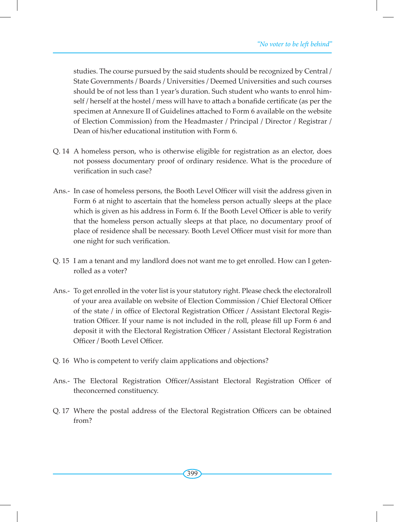studies. The course pursued by the said students should be recognized by Central / State Governments / Boards / Universities / Deemed Universities and such courses should be of not less than 1 year's duration. Such student who wants to enrol himself / herself at the hostel / mess will have to attach a bonafide certificate (as per the specimen at Annexure II of Guidelines attached to Form 6 available on the website of Election Commission) from the Headmaster / Principal / Director / Registrar / Dean of his/her educational institution with Form 6.

- Q. 14 A homeless person, who is otherwise eligible for registration as an elector, does not possess documentary proof of ordinary residence. What is the procedure of verification in such case?
- Ans.- In case of homeless persons, the Booth Level Officer will visit the address given in Form 6 at night to ascertain that the homeless person actually sleeps at the place which is given as his address in Form 6. If the Booth Level Officer is able to verify that the homeless person actually sleeps at that place, no documentary proof of place of residence shall be necessary. Booth Level Officer must visit for more than one night for such verification.
- Q. 15 I am a tenant and my landlord does not want me to get enrolled. How can I getenrolled as a voter?
- Ans.- To get enrolled in the voter list is your statutory right. Please check the electoralroll of your area available on website of Election Commission / Chief Electoral Officer of the state / in office of Electoral Registration Officer / Assistant Electoral Registration Officer. If your name is not included in the roll, please fill up Form 6 and deposit it with the Electoral Registration Officer / Assistant Electoral Registration Officer / Booth Level Officer.
- Q. 16 Who is competent to verify claim applications and objections?
- Ans.- The Electoral Registration Officer/Assistant Electoral Registration Officer of theconcerned constituency.
- Q. 17 Where the postal address of the Electoral Registration Officers can be obtained from?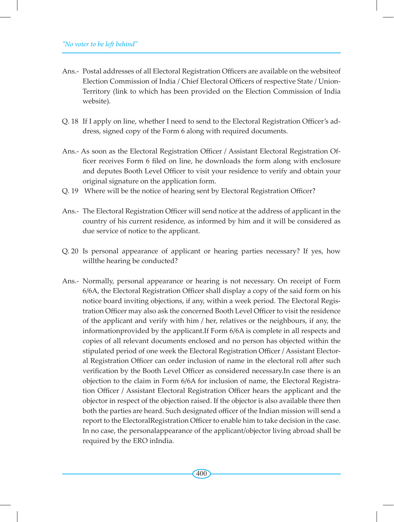- Ans.- Postal addresses of all Electoral Registration Officers are available on the websiteof Election Commission of India / Chief Electoral Officers of respective State / Union-Territory (link to which has been provided on the Election Commission of India website).
- Q. 18 If I apply on line, whether I need to send to the Electoral Registration Officer's address, signed copy of the Form 6 along with required documents.
- Ans.- As soon as the Electoral Registration Officer / Assistant Electoral Registration Officer receives Form 6 filed on line, he downloads the form along with enclosure and deputes Booth Level Officer to visit your residence to verify and obtain your original signature on the application form.
- Q. 19 Where will be the notice of hearing sent by Electoral Registration Officer?
- Ans.- The Electoral Registration Officer will send notice at the address of applicant in the country of his current residence, as informed by him and it will be considered as due service of notice to the applicant.
- Q. 20 Is personal appearance of applicant or hearing parties necessary? If yes, how willthe hearing be conducted?
- Ans.- Normally, personal appearance or hearing is not necessary. On receipt of Form 6/6A, the Electoral Registration Officer shall display a copy of the said form on his notice board inviting objections, if any, within a week period. The Electoral Registration Officer may also ask the concerned Booth Level Officer to visit the residence of the applicant and verify with him / her, relatives or the neighbours, if any, the informationprovided by the applicant.If Form 6/6A is complete in all respects and copies of all relevant documents enclosed and no person has objected within the stipulated period of one week the Electoral Registration Officer / Assistant Electoral Registration Officer can order inclusion of name in the electoral roll after such verification by the Booth Level Officer as considered necessary.In case there is an objection to the claim in Form 6/6A for inclusion of name, the Electoral Registration Officer / Assistant Electoral Registration Officer hears the applicant and the objector in respect of the objection raised. If the objector is also available there then both the parties are heard. Such designated officer of the Indian mission will send a report to the ElectoralRegistration Officer to enable him to take decision in the case. In no case, the personalappearance of the applicant/objector living abroad shall be required by the ERO inIndia.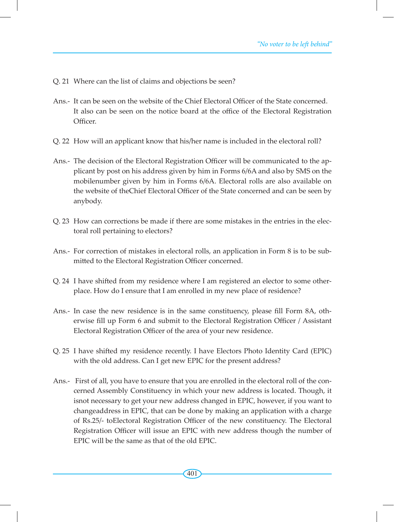- Q. 21 Where can the list of claims and objections be seen?
- Ans.- It can be seen on the website of the Chief Electoral Officer of the State concerned. It also can be seen on the notice board at the office of the Electoral Registration Officer.
- Q. 22 How will an applicant know that his/her name is included in the electoral roll?
- Ans.- The decision of the Electoral Registration Officer will be communicated to the applicant by post on his address given by him in Forms 6/6A and also by SMS on the mobilenumber given by him in Forms 6/6A. Electoral rolls are also available on the website of theChief Electoral Officer of the State concerned and can be seen by anybody.
- Q. 23 How can corrections be made if there are some mistakes in the entries in the electoral roll pertaining to electors?
- Ans.- For correction of mistakes in electoral rolls, an application in Form 8 is to be submitted to the Electoral Registration Officer concerned.
- Q. 24 I have shifted from my residence where I am registered an elector to some otherplace. How do I ensure that I am enrolled in my new place of residence?
- Ans.- In case the new residence is in the same constituency, please fill Form 8A, otherwise fill up Form 6 and submit to the Electoral Registration Officer / Assistant Electoral Registration Officer of the area of your new residence.
- Q. 25 I have shifted my residence recently. I have Electors Photo Identity Card (EPIC) with the old address. Can I get new EPIC for the present address?
- Ans.- First of all, you have to ensure that you are enrolled in the electoral roll of the concerned Assembly Constituency in which your new address is located. Though, it isnot necessary to get your new address changed in EPIC, however, if you want to changeaddress in EPIC, that can be done by making an application with a charge of Rs.25/- toElectoral Registration Officer of the new constituency. The Electoral Registration Officer will issue an EPIC with new address though the number of EPIC will be the same as that of the old EPIC.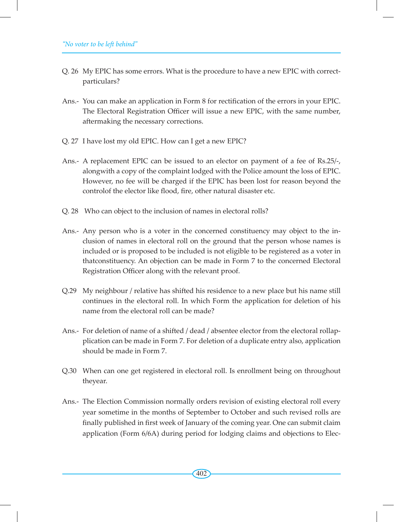- Q. 26 My EPIC has some errors. What is the procedure to have a new EPIC with correctparticulars?
- Ans.- You can make an application in Form 8 for rectification of the errors in your EPIC. The Electoral Registration Officer will issue a new EPIC, with the same number, aftermaking the necessary corrections.
- Q. 27 I have lost my old EPIC. How can I get a new EPIC?
- Ans.- A replacement EPIC can be issued to an elector on payment of a fee of Rs.25/-, alongwith a copy of the complaint lodged with the Police amount the loss of EPIC. However, no fee will be charged if the EPIC has been lost for reason beyond the controlof the elector like flood, fire, other natural disaster etc.
- Q. 28 Who can object to the inclusion of names in electoral rolls?
- Ans.- Any person who is a voter in the concerned constituency may object to the inclusion of names in electoral roll on the ground that the person whose names is included or is proposed to be included is not eligible to be registered as a voter in thatconstituency. An objection can be made in Form 7 to the concerned Electoral Registration Officer along with the relevant proof.
- Q.29 My neighbour / relative has shifted his residence to a new place but his name still continues in the electoral roll. In which Form the application for deletion of his name from the electoral roll can be made?
- Ans.- For deletion of name of a shifted / dead / absentee elector from the electoral rollapplication can be made in Form 7. For deletion of a duplicate entry also, application should be made in Form 7.
- Q.30 When can one get registered in electoral roll. Is enrollment being on throughout theyear.
- Ans.- The Election Commission normally orders revision of existing electoral roll every year sometime in the months of September to October and such revised rolls are finally published in first week of January of the coming year. One can submit claim application (Form 6/6A) during period for lodging claims and objections to Elec-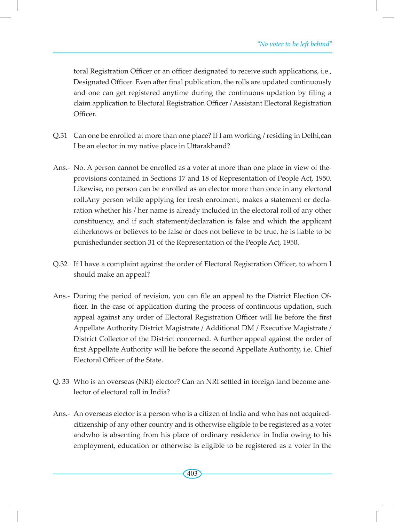toral Registration Officer or an officer designated to receive such applications, i.e., Designated Officer. Even after final publication, the rolls are updated continuously and one can get registered anytime during the continuous updation by filing a claim application to Electoral Registration Officer / Assistant Electoral Registration Officer.

- Q.31 Can one be enrolled at more than one place? If I am working / residing in Delhi,can I be an elector in my native place in Uttarakhand?
- Ans.- No. A person cannot be enrolled as a voter at more than one place in view of theprovisions contained in Sections 17 and 18 of Representation of People Act, 1950. Likewise, no person can be enrolled as an elector more than once in any electoral roll.Any person while applying for fresh enrolment, makes a statement or declaration whether his / her name is already included in the electoral roll of any other constituency, and if such statement/declaration is false and which the applicant eitherknows or believes to be false or does not believe to be true, he is liable to be punishedunder section 31 of the Representation of the People Act, 1950.
- Q.32 If I have a complaint against the order of Electoral Registration Officer, to whom I should make an appeal?
- Ans.- During the period of revision, you can file an appeal to the District Election Officer. In the case of application during the process of continuous updation, such appeal against any order of Electoral Registration Officer will lie before the first Appellate Authority District Magistrate / Additional DM / Executive Magistrate / District Collector of the District concerned. A further appeal against the order of first Appellate Authority will lie before the second Appellate Authority, i.e. Chief Electoral Officer of the State.
- Q. 33 Who is an overseas (NRI) elector? Can an NRI settled in foreign land become anelector of electoral roll in India?
- Ans.- An overseas elector is a person who is a citizen of India and who has not acquiredcitizenship of any other country and is otherwise eligible to be registered as a voter andwho is absenting from his place of ordinary residence in India owing to his employment, education or otherwise is eligible to be registered as a voter in the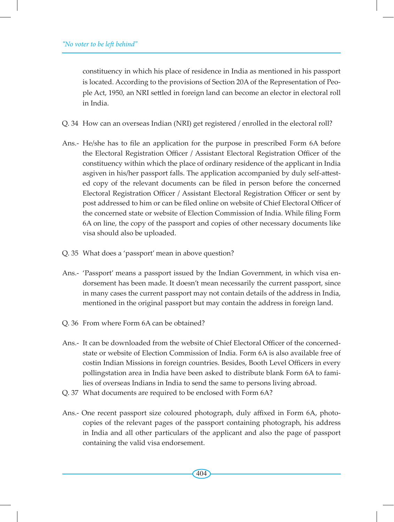constituency in which his place of residence in India as mentioned in his passport is located. According to the provisions of Section 20A of the Representation of People Act, 1950, an NRI settled in foreign land can become an elector in electoral roll in India.

- Q. 34 How can an overseas Indian (NRI) get registered / enrolled in the electoral roll?
- Ans.- He/she has to file an application for the purpose in prescribed Form 6A before the Electoral Registration Officer / Assistant Electoral Registration Officer of the constituency within which the place of ordinary residence of the applicant in India asgiven in his/her passport falls. The application accompanied by duly self-attested copy of the relevant documents can be filed in person before the concerned Electoral Registration Officer / Assistant Electoral Registration Officer or sent by post addressed to him or can be filed online on website of Chief Electoral Officer of the concerned state or website of Election Commission of India. While filing Form 6A on line, the copy of the passport and copies of other necessary documents like visa should also be uploaded.
- Q. 35 What does a 'passport' mean in above question?
- Ans.- 'Passport' means a passport issued by the Indian Government, in which visa endorsement has been made. It doesn't mean necessarily the current passport, since in many cases the current passport may not contain details of the address in India, mentioned in the original passport but may contain the address in foreign land.
- Q. 36 From where Form 6A can be obtained?
- Ans.- It can be downloaded from the website of Chief Electoral Officer of the concernedstate or website of Election Commission of India. Form 6A is also available free of costin Indian Missions in foreign countries. Besides, Booth Level Officers in every pollingstation area in India have been asked to distribute blank Form 6A to families of overseas Indians in India to send the same to persons living abroad.
- Q. 37 What documents are required to be enclosed with Form 6A?
- Ans.- One recent passport size coloured photograph, duly affixed in Form 6A, photocopies of the relevant pages of the passport containing photograph, his address in India and all other particulars of the applicant and also the page of passport containing the valid visa endorsement.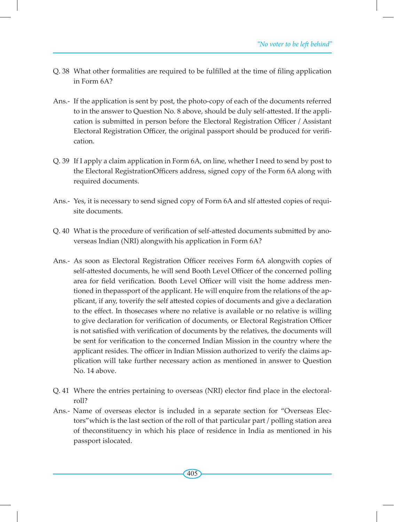- Q. 38 What other formalities are required to be fulfilled at the time of filing application in Form 6A?
- Ans.- If the application is sent by post, the photo-copy of each of the documents referred to in the answer to Question No. 8 above, should be duly self-attested. If the application is submitted in person before the Electoral Registration Officer / Assistant Electoral Registration Officer, the original passport should be produced for verification.
- Q. 39 If I apply a claim application in Form 6A, on line, whether I need to send by post to the Electoral RegistrationOfficers address, signed copy of the Form 6A along with required documents.
- Ans.- Yes, it is necessary to send signed copy of Form 6A and slf attested copies of requisite documents.
- Q. 40 What is the procedure of verification of self-attested documents submitted by anoverseas Indian (NRI) alongwith his application in Form 6A?
- Ans.- As soon as Electoral Registration Officer receives Form 6A alongwith copies of self-attested documents, he will send Booth Level Officer of the concerned polling area for field verification. Booth Level Officer will visit the home address mentioned in thepassport of the applicant. He will enquire from the relations of the applicant, if any, toverify the self attested copies of documents and give a declaration to the effect. In thosecases where no relative is available or no relative is willing to give declaration for verification of documents, or Electoral Registration Officer is not satisfied with verification of documents by the relatives, the documents will be sent for verification to the concerned Indian Mission in the country where the applicant resides. The officer in Indian Mission authorized to verify the claims application will take further necessary action as mentioned in answer to Question No. 14 above.
- Q. 41 Where the entries pertaining to overseas (NRI) elector find place in the electoralroll?
- Ans.- Name of overseas elector is included in a separate section for "Overseas Electors"which is the last section of the roll of that particular part / polling station area of theconstituency in which his place of residence in India as mentioned in his passport islocated.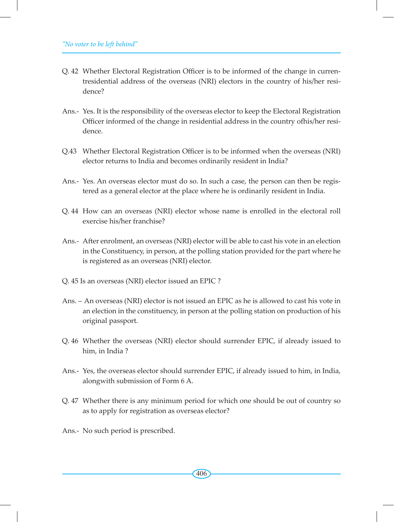- Q. 42 Whether Electoral Registration Officer is to be informed of the change in currentresidential address of the overseas (NRI) electors in the country of his/her residence?
- Ans.- Yes. It is the responsibility of the overseas elector to keep the Electoral Registration Officer informed of the change in residential address in the country ofhis/her residence.
- Q.43 Whether Electoral Registration Officer is to be informed when the overseas (NRI) elector returns to India and becomes ordinarily resident in India?
- Ans.- Yes. An overseas elector must do so. In such a case, the person can then be registered as a general elector at the place where he is ordinarily resident in India.
- Q. 44 How can an overseas (NRI) elector whose name is enrolled in the electoral roll exercise his/her franchise?
- Ans.- After enrolment, an overseas (NRI) elector will be able to cast his vote in an election in the Constituency, in person, at the polling station provided for the part where he is registered as an overseas (NRI) elector.
- Q. 45 Is an overseas (NRI) elector issued an EPIC ?
- Ans. An overseas (NRI) elector is not issued an EPIC as he is allowed to cast his vote in an election in the constituency, in person at the polling station on production of his original passport.
- Q. 46 Whether the overseas (NRI) elector should surrender EPIC, if already issued to him, in India ?
- Ans.- Yes, the overseas elector should surrender EPIC, if already issued to him, in India, alongwith submission of Form 6 A.
- Q. 47 Whether there is any minimum period for which one should be out of country so as to apply for registration as overseas elector?
- Ans.- No such period is prescribed.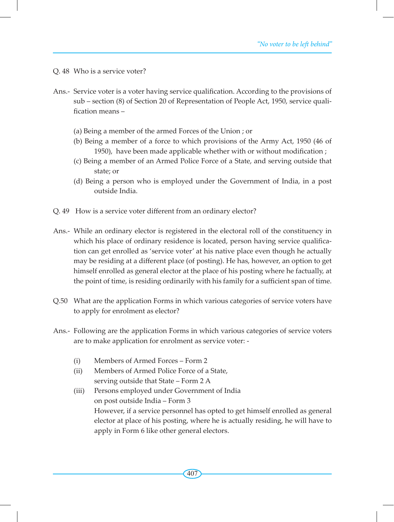Q. 48 Who is a service voter?

- Ans.- Service voter is a voter having service qualification. According to the provisions of sub – section (8) of Section 20 of Representation of People Act, 1950, service qualification means –
	- (a) Being a member of the armed Forces of the Union ; or
	- (b) Being a member of a force to which provisions of the Army Act, 1950 (46 of 1950), have been made applicable whether with or without modification ;
	- (c) Being a member of an Armed Police Force of a State, and serving outside that state; or
	- (d) Being a person who is employed under the Government of India, in a post outside India.
- Q. 49 How is a service voter different from an ordinary elector?
- Ans.- While an ordinary elector is registered in the electoral roll of the constituency in which his place of ordinary residence is located, person having service qualification can get enrolled as 'service voter' at his native place even though he actually may be residing at a different place (of posting). He has, however, an option to get himself enrolled as general elector at the place of his posting where he factually, at the point of time, is residing ordinarily with his family for a sufficient span of time.
- Q.50 What are the application Forms in which various categories of service voters have to apply for enrolment as elector?
- Ans.- Following are the application Forms in which various categories of service voters are to make application for enrolment as service voter: -
	- (i) Members of Armed Forces Form 2
	- (ii) Members of Armed Police Force of a State, serving outside that State – Form 2 A
	- (iii) Persons employed under Government of India on post outside India – Form 3 However, if a service personnel has opted to get himself enrolled as general elector at place of his posting, where he is actually residing, he will have to apply in Form 6 like other general electors.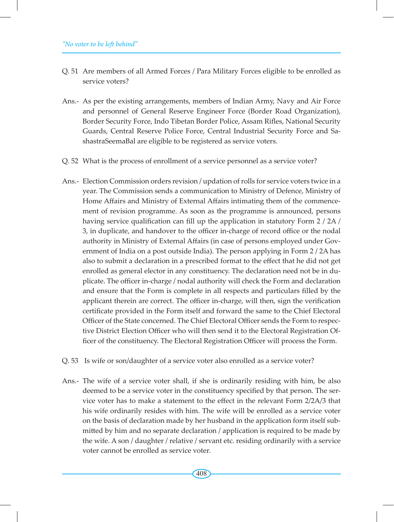- Q. 51 Are members of all Armed Forces / Para Military Forces eligible to be enrolled as service voters?
- Ans.- As per the existing arrangements, members of Indian Army, Navy and Air Force and personnel of General Reserve Engineer Force (Border Road Organization), Border Security Force, Indo Tibetan Border Police, Assam Rifles, National Security Guards, Central Reserve Police Force, Central Industrial Security Force and SashastraSeemaBal are eligible to be registered as service voters.
- Q. 52 What is the process of enrollment of a service personnel as a service voter?
- Ans.- Election Commission orders revision / updation of rolls for service voters twice in a year. The Commission sends a communication to Ministry of Defence, Ministry of Home Affairs and Ministry of External Affairs intimating them of the commencement of revision programme. As soon as the programme is announced, persons having service qualification can fill up the application in statutory Form 2 / 2A / 3, in duplicate, and handover to the officer in-charge of record office or the nodal authority in Ministry of External Affairs (in case of persons employed under Government of India on a post outside India). The person applying in Form 2 / 2A has also to submit a declaration in a prescribed format to the effect that he did not get enrolled as general elector in any constituency. The declaration need not be in duplicate. The officer in-charge / nodal authority will check the Form and declaration and ensure that the Form is complete in all respects and particulars filled by the applicant therein are correct. The officer in-charge, will then, sign the verification certificate provided in the Form itself and forward the same to the Chief Electoral Officer of the State concerned. The Chief Electoral Officer sends the Form to respective District Election Officer who will then send it to the Electoral Registration Officer of the constituency. The Electoral Registration Officer will process the Form.
- Q. 53 Is wife or son/daughter of a service voter also enrolled as a service voter?
- Ans.- The wife of a service voter shall, if she is ordinarily residing with him, be also deemed to be a service voter in the constituency specified by that person. The service voter has to make a statement to the effect in the relevant Form 2/2A/3 that his wife ordinarily resides with him. The wife will be enrolled as a service voter on the basis of declaration made by her husband in the application form itself submitted by him and no separate declaration / application is required to be made by the wife. A son / daughter / relative / servant etc. residing ordinarily with a service voter cannot be enrolled as service voter.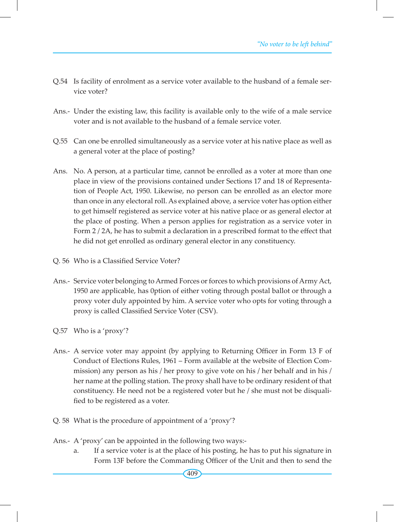- Q.54 Is facility of enrolment as a service voter available to the husband of a female service voter?
- Ans.- Under the existing law, this facility is available only to the wife of a male service voter and is not available to the husband of a female service voter.
- Q.55 Can one be enrolled simultaneously as a service voter at his native place as well as a general voter at the place of posting?
- Ans. No. A person, at a particular time, cannot be enrolled as a voter at more than one place in view of the provisions contained under Sections 17 and 18 of Representation of People Act, 1950. Likewise, no person can be enrolled as an elector more than once in any electoral roll. As explained above, a service voter has option either to get himself registered as service voter at his native place or as general elector at the place of posting. When a person applies for registration as a service voter in Form 2 / 2A, he has to submit a declaration in a prescribed format to the effect that he did not get enrolled as ordinary general elector in any constituency.
- Q. 56 Who is a Classified Service Voter?
- Ans.- Service voter belonging to Armed Forces or forces to which provisions of Army Act, 1950 are applicable, has 0ption of either voting through postal ballot or through a proxy voter duly appointed by him. A service voter who opts for voting through a proxy is called Classified Service Voter (CSV).
- Q.57 Who is a 'proxy'?
- Ans.- A service voter may appoint (by applying to Returning Officer in Form 13 F of Conduct of Elections Rules, 1961 – Form available at the website of Election Commission) any person as his / her proxy to give vote on his / her behalf and in his / her name at the polling station. The proxy shall have to be ordinary resident of that constituency. He need not be a registered voter but he / she must not be disqualified to be registered as a voter.
- Q. 58 What is the procedure of appointment of a 'proxy'?
- Ans.- A 'proxy' can be appointed in the following two ways:
	- a. If a service voter is at the place of his posting, he has to put his signature in Form 13F before the Commanding Officer of the Unit and then to send the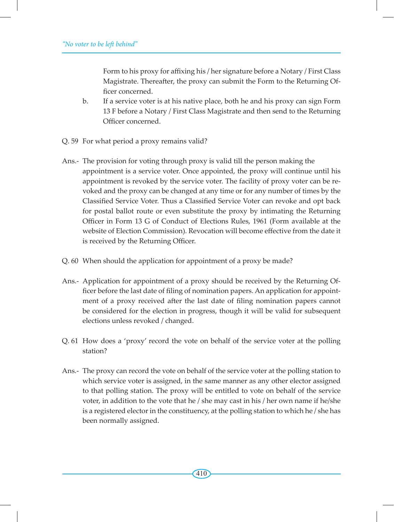Form to his proxy for affixing his / her signature before a Notary / First Class Magistrate. Thereafter, the proxy can submit the Form to the Returning Officer concerned.

- b. If a service voter is at his native place, both he and his proxy can sign Form 13 F before a Notary / First Class Magistrate and then send to the Returning Officer concerned.
- Q. 59 For what period a proxy remains valid?
- Ans.- The provision for voting through proxy is valid till the person making the appointment is a service voter. Once appointed, the proxy will continue until his appointment is revoked by the service voter. The facility of proxy voter can be revoked and the proxy can be changed at any time or for any number of times by the Classified Service Voter. Thus a Classified Service Voter can revoke and opt back for postal ballot route or even substitute the proxy by intimating the Returning Officer in Form 13 G of Conduct of Elections Rules, 1961 (Form available at the website of Election Commission). Revocation will become effective from the date it is received by the Returning Officer.
- Q. 60 When should the application for appointment of a proxy be made?
- Ans.- Application for appointment of a proxy should be received by the Returning Officer before the last date of filing of nomination papers. An application for appointment of a proxy received after the last date of filing nomination papers cannot be considered for the election in progress, though it will be valid for subsequent elections unless revoked / changed.
- Q. 61 How does a 'proxy' record the vote on behalf of the service voter at the polling station?
- Ans.- The proxy can record the vote on behalf of the service voter at the polling station to which service voter is assigned, in the same manner as any other elector assigned to that polling station. The proxy will be entitled to vote on behalf of the service voter, in addition to the vote that he / she may cast in his / her own name if he/she is a registered elector in the constituency, at the polling station to which he / she has been normally assigned.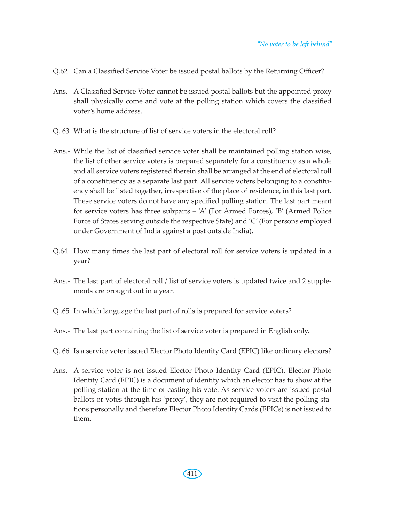- Q.62 Can a Classified Service Voter be issued postal ballots by the Returning Officer?
- Ans.- A Classified Service Voter cannot be issued postal ballots but the appointed proxy shall physically come and vote at the polling station which covers the classified voter's home address.
- Q. 63 What is the structure of list of service voters in the electoral roll?
- Ans.- While the list of classified service voter shall be maintained polling station wise, the list of other service voters is prepared separately for a constituency as a whole and all service voters registered therein shall be arranged at the end of electoral roll of a constituency as a separate last part. All service voters belonging to a constituency shall be listed together, irrespective of the place of residence, in this last part. These service voters do not have any specified polling station. The last part meant for service voters has three subparts – 'A' (For Armed Forces), 'B' (Armed Police Force of States serving outside the respective State) and 'C'(For persons employed under Government of India against a post outside India).
- Q.64 How many times the last part of electoral roll for service voters is updated in a year?
- Ans.- The last part of electoral roll / list of service voters is updated twice and 2 supplements are brought out in a year.
- Q .65 In which language the last part of rolls is prepared for service voters?
- Ans.- The last part containing the list of service voter is prepared in English only.
- Q. 66 Is a service voter issued Elector Photo Identity Card (EPIC) like ordinary electors?
- Ans.- A service voter is not issued Elector Photo Identity Card (EPIC). Elector Photo Identity Card (EPIC) is a document of identity which an elector has to show at the polling station at the time of casting his vote. As service voters are issued postal ballots or votes through his 'proxy', they are not required to visit the polling stations personally and therefore Elector Photo Identity Cards (EPICs) is not issued to them.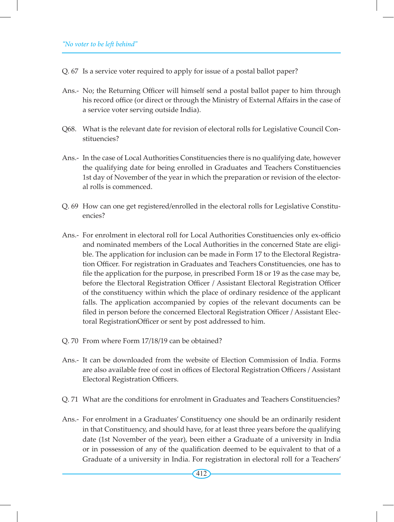- Q. 67 Is a service voter required to apply for issue of a postal ballot paper?
- Ans.- No; the Returning Officer will himself send a postal ballot paper to him through his record office (or direct or through the Ministry of External Affairs in the case of a service voter serving outside India).
- Q68. What is the relevant date for revision of electoral rolls for Legislative Council Constituencies?
- Ans.- In the case of Local Authorities Constituencies there is no qualifying date, however the qualifying date for being enrolled in Graduates and Teachers Constituencies 1st day of November of the year in which the preparation or revision of the electoral rolls is commenced.
- Q. 69 How can one get registered/enrolled in the electoral rolls for Legislative Constituencies?
- Ans.- For enrolment in electoral roll for Local Authorities Constituencies only ex-officio and nominated members of the Local Authorities in the concerned State are eligible. The application for inclusion can be made in Form 17 to the Electoral Registration Officer. For registration in Graduates and Teachers Constituencies, one has to file the application for the purpose, in prescribed Form 18 or 19 as the case may be, before the Electoral Registration Officer / Assistant Electoral Registration Officer of the constituency within which the place of ordinary residence of the applicant falls. The application accompanied by copies of the relevant documents can be filed in person before the concerned Electoral Registration Officer / Assistant Electoral RegistrationOfficer or sent by post addressed to him.
- Q. 70 From where Form 17/18/19 can be obtained?
- Ans.- It can be downloaded from the website of Election Commission of India. Forms are also available free of cost in offices of Electoral Registration Officers / Assistant Electoral Registration Officers.
- Q. 71 What are the conditions for enrolment in Graduates and Teachers Constituencies?
- Ans.- For enrolment in a Graduates' Constituency one should be an ordinarily resident in that Constituency, and should have, for at least three years before the qualifying date (1st November of the year), been either a Graduate of a university in India or in possession of any of the qualification deemed to be equivalent to that of a Graduate of a university in India. For registration in electoral roll for a Teachers'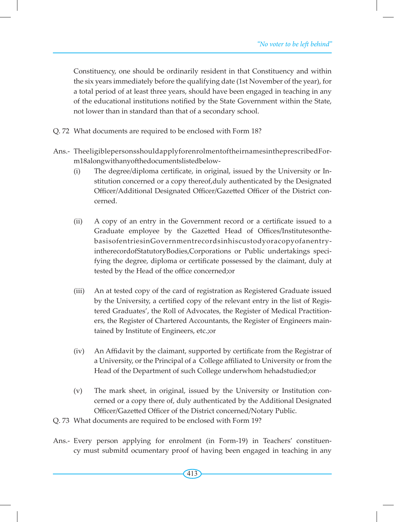Constituency, one should be ordinarily resident in that Constituency and within the six years immediately before the qualifying date (1st November of the year), for a total period of at least three years, should have been engaged in teaching in any of the educational institutions notified by the State Government within the State, not lower than in standard than that of a secondary school.

- Q. 72 What documents are required to be enclosed with Form 18?
- Ans.- TheeligiblepersonsshouldapplyforenrolmentoftheirnamesintheprescribedForm18alongwithanyofthedocumentslistedbelow-
	- (i) The degree/diploma certificate, in original, issued by the University or Institution concerned or a copy thereof,duly authenticated by the Designated Officer/Additional Designated Officer/Gazetted Officer of the District concerned.
	- (ii) A copy of an entry in the Government record or a certificate issued to a Graduate employee by the Gazetted Head of Offices/InstitutesonthebasisofentriesinGovernmentrecordsinhiscustodyoracopyofanentryintherecordofStatutoryBodies,Corporations or Public undertakings specifying the degree, diploma or certificate possessed by the claimant, duly at tested by the Head of the office concerned;or
	- (iii) An at tested copy of the card of registration as Registered Graduate issued by the University, a certified copy of the relevant entry in the list of Registered Graduates', the Roll of Advocates, the Register of Medical Practitioners, the Register of Chartered Accountants, the Register of Engineers maintained by Institute of Engineers, etc.;or
	- (iv) An Affidavit by the claimant, supported by certificate from the Registrar of a University, or the Principal of a College affiliated to University or from the Head of the Department of such College underwhom hehadstudied;or
	- (v) The mark sheet, in original, issued by the University or Institution concerned or a copy there of, duly authenticated by the Additional Designated Officer/Gazetted Officer of the District concerned/Notary Public.

Q. 73 What documents are required to be enclosed with Form 19?

Ans.- Every person applying for enrolment (in Form-19) in Teachers' constituency must submitd ocumentary proof of having been engaged in teaching in any